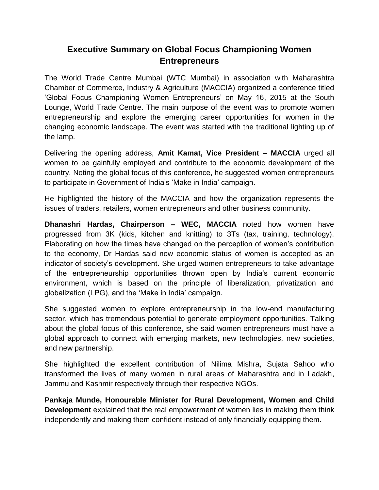## **Executive Summary on Global Focus Championing Women Entrepreneurs**

The World Trade Centre Mumbai (WTC Mumbai) in association with Maharashtra Chamber of Commerce, Industry & Agriculture (MACCIA) organized a conference titled 'Global Focus Championing Women Entrepreneurs' on May 16, 2015 at the South Lounge, World Trade Centre. The main purpose of the event was to promote women entrepreneurship and explore the emerging career opportunities for women in the changing economic landscape. The event was started with the traditional lighting up of the lamp.

Delivering the opening address, **Amit Kamat, Vice President – MACCIA** urged all women to be gainfully employed and contribute to the economic development of the country. Noting the global focus of this conference, he suggested women entrepreneurs to participate in Government of India's 'Make in India' campaign.

He highlighted the history of the MACCIA and how the organization represents the issues of traders, retailers, women entrepreneurs and other business community.

**Dhanashri Hardas, Chairperson – WEC, MACCIA** noted how women have progressed from 3K (kids, kitchen and knitting) to 3Ts (tax, training, technology). Elaborating on how the times have changed on the perception of women's contribution to the economy, Dr Hardas said now economic status of women is accepted as an indicator of society's development. She urged women entrepreneurs to take advantage of the entrepreneurship opportunities thrown open by India's current economic environment, which is based on the principle of liberalization, privatization and globalization (LPG), and the 'Make in India' campaign.

She suggested women to explore entrepreneurship in the low-end manufacturing sector, which has tremendous potential to generate employment opportunities. Talking about the global focus of this conference, she said women entrepreneurs must have a global approach to connect with emerging markets, new technologies, new societies, and new partnership.

She highlighted the excellent contribution of Nilima Mishra, Sujata Sahoo who transformed the lives of many women in rural areas of Maharashtra and in Ladakh, Jammu and Kashmir respectively through their respective NGOs.

**Pankaja Munde, Honourable Minister for Rural Development, Women and Child Development** explained that the real empowerment of women lies in making them think independently and making them confident instead of only financially equipping them.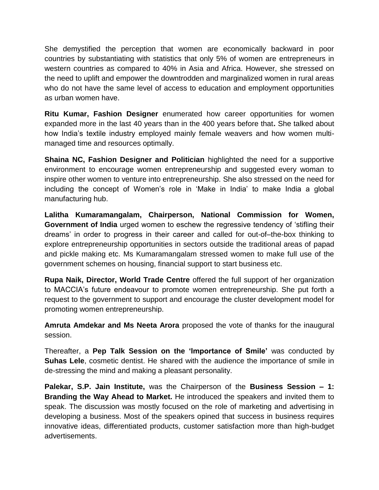She demystified the perception that women are economically backward in poor countries by substantiating with statistics that only 5% of women are entrepreneurs in western countries as compared to 40% in Asia and Africa. However, she stressed on the need to uplift and empower the downtrodden and marginalized women in rural areas who do not have the same level of access to education and employment opportunities as urban women have.

**Ritu Kumar, Fashion Designer** enumerated how career opportunities for women expanded more in the last 40 years than in the 400 years before that**.** She talked about how India's textile industry employed mainly female weavers and how women multimanaged time and resources optimally.

**Shaina NC, Fashion Designer and Politician** highlighted the need for a supportive environment to encourage women entrepreneurship and suggested every woman to inspire other women to venture into entrepreneurship. She also stressed on the need for including the concept of Women's role in 'Make in India' to make India a global manufacturing hub.

**Lalitha Kumaramangalam, Chairperson, National Commission for Women, Government of India** urged women to eschew the regressive tendency of 'stifling their dreams' in order to progress in their career and called for out-of–the-box thinking to explore entrepreneurship opportunities in sectors outside the traditional areas of papad and pickle making etc. Ms Kumaramangalam stressed women to make full use of the government schemes on housing, financial support to start business etc.

**Rupa Naik, Director, World Trade Centre** offered the full support of her organization to MACCIA's future endeavour to promote women entrepreneurship. She put forth a request to the government to support and encourage the cluster development model for promoting women entrepreneurship.

**Amruta Amdekar and Ms Neeta Arora** proposed the vote of thanks for the inaugural session.

Thereafter, a **Pep Talk Session on the 'Importance of Smile'** was conducted by **Suhas Lele**, cosmetic dentist. He shared with the audience the importance of smile in de-stressing the mind and making a pleasant personality.

**Palekar, S.P. Jain Institute,** was the Chairperson of the **Business Session – 1: Branding the Way Ahead to Market.** He introduced the speakers and invited them to speak. The discussion was mostly focused on the role of marketing and advertising in developing a business. Most of the speakers opined that success in business requires innovative ideas, differentiated products, customer satisfaction more than high-budget advertisements.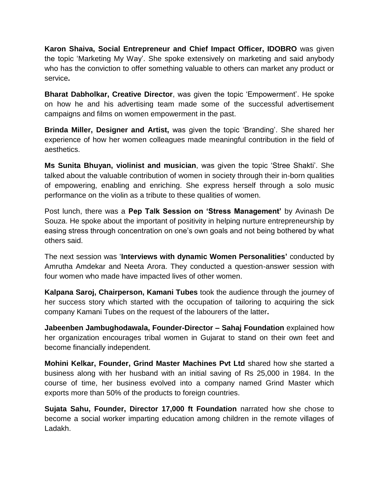**Karon Shaiva, Social Entrepreneur and Chief Impact Officer, IDOBRO** was given the topic 'Marketing My Way'. She spoke extensively on marketing and said anybody who has the conviction to offer something valuable to others can market any product or service**.**

**Bharat Dabholkar, Creative Director**, was given the topic 'Empowerment'. He spoke on how he and his advertising team made some of the successful advertisement campaigns and films on women empowerment in the past.

**Brinda Miller, Designer and Artist,** was given the topic 'Branding'. She shared her experience of how her women colleagues made meaningful contribution in the field of aesthetics.

**Ms Sunita Bhuyan, violinist and musician**, was given the topic 'Stree Shakti'. She talked about the valuable contribution of women in society through their in-born qualities of empowering, enabling and enriching. She express herself through a solo music performance on the violin as a tribute to these qualities of women.

Post lunch, there was a **Pep Talk Session on 'Stress Management'** by Avinash De Souza. He spoke about the important of positivity in helping nurture entrepreneurship by easing stress through concentration on one's own goals and not being bothered by what others said.

The next session was '**Interviews with dynamic Women Personalities'** conducted by Amrutha Amdekar and Neeta Arora. They conducted a question-answer session with four women who made have impacted lives of other women.

**Kalpana Saroj, Chairperson, Kamani Tubes** took the audience through the journey of her success story which started with the occupation of tailoring to acquiring the sick company Kamani Tubes on the request of the labourers of the latter**.**

**Jabeenben Jambughodawala, Founder-Director – Sahaj Foundation** explained how her organization encourages tribal women in Gujarat to stand on their own feet and become financially independent.

**Mohini Kelkar, Founder, Grind Master Machines Pvt Ltd** shared how she started a business along with her husband with an initial saving of Rs 25,000 in 1984. In the course of time, her business evolved into a company named Grind Master which exports more than 50% of the products to foreign countries.

**Sujata Sahu, Founder, Director 17,000 ft Foundation** narrated how she chose to become a social worker imparting education among children in the remote villages of Ladakh.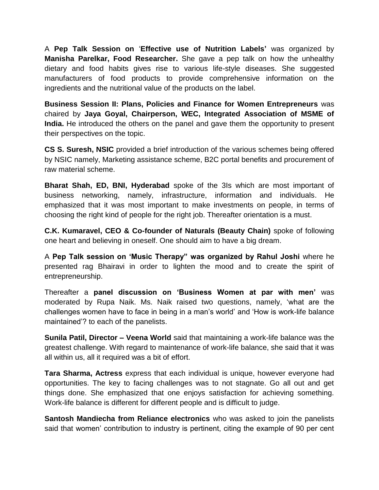A **Pep Talk Session on** '**Effective use of Nutrition Labels'** was organized by **Manisha Parelkar, Food Researcher.** She gave a pep talk on how the unhealthy dietary and food habits gives rise to various life-style diseases. She suggested manufacturers of food products to provide comprehensive information on the ingredients and the nutritional value of the products on the label.

**Business Session II: Plans, Policies and Finance for Women Entrepreneurs** was chaired by **Jaya Goyal, Chairperson, WEC, Integrated Association of MSME of India.** He introduced the others on the panel and gave them the opportunity to present their perspectives on the topic.

**CS S. Suresh, NSIC** provided a brief introduction of the various schemes being offered by NSIC namely, Marketing assistance scheme, B2C portal benefits and procurement of raw material scheme.

**Bharat Shah, ED, BNI, Hyderabad** spoke of the 3Is which are most important of business networking, namely, infrastructure, information and individuals. He emphasized that it was most important to make investments on people, in terms of choosing the right kind of people for the right job. Thereafter orientation is a must.

**C.K. Kumaravel, CEO & Co-founder of Naturals (Beauty Chain)** spoke of following one heart and believing in oneself. One should aim to have a big dream.

A **Pep Talk session on 'Music Therapy" was organized by Rahul Joshi** where he presented rag Bhairavi in order to lighten the mood and to create the spirit of entrepreneurship.

Thereafter a **panel discussion on 'Business Women at par with men'** was moderated by Rupa Naik. Ms. Naik raised two questions, namely, 'what are the challenges women have to face in being in a man's world' and 'How is work-life balance maintained'? to each of the panelists.

**Sunila Patil, Director – Veena World** said that maintaining a work-life balance was the greatest challenge. With regard to maintenance of work-life balance, she said that it was all within us, all it required was a bit of effort.

**Tara Sharma, Actress** express that each individual is unique, however everyone had opportunities. The key to facing challenges was to not stagnate. Go all out and get things done. She emphasized that one enjoys satisfaction for achieving something. Work-life balance is different for different people and is difficult to judge.

**Santosh Mandiecha from Reliance electronics** who was asked to join the panelists said that women' contribution to industry is pertinent, citing the example of 90 per cent